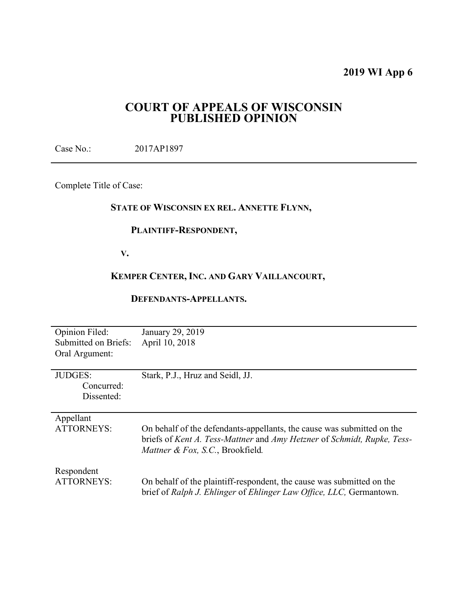# **2019 WI App 6**

# **COURT OF APPEALS OF WISCONSIN PUBLISHED OPINION**

Case No.: 2017AP1897

Complete Title of Case:

# **STATE OF WISCONSIN EX REL. ANNETTE FLYNN,**

# **PLAINTIFF-RESPONDENT,**

 **V.** 

# **KEMPER CENTER, INC. AND GARY VAILLANCOURT,**

# **DEFENDANTS-APPELLANTS.**

| <b>Opinion Filed:</b><br>Submitted on Briefs:<br>Oral Argument: | January 29, 2019<br>April 10, 2018                                                                          |
|-----------------------------------------------------------------|-------------------------------------------------------------------------------------------------------------|
| <b>JUDGES:</b><br>Concurred:<br>Dissented:                      | Stark, P.J., Hruz and Seidl, JJ.                                                                            |
| Appellant<br><b>ATTORNEYS:</b>                                  | On behalf of the defendants-appellants, the cause was submitted on the                                      |
|                                                                 | briefs of Kent A. Tess-Mattner and Amy Hetzner of Schmidt, Rupke, Tess-<br>Mattner & Fox, S.C., Brookfield. |
| Respondent<br><b>ATTORNEYS:</b>                                 | On behalf of the plaintiff-respondent, the cause was submitted on the                                       |
|                                                                 | brief of Ralph J. Ehlinger of Ehlinger Law Office, LLC, Germantown.                                         |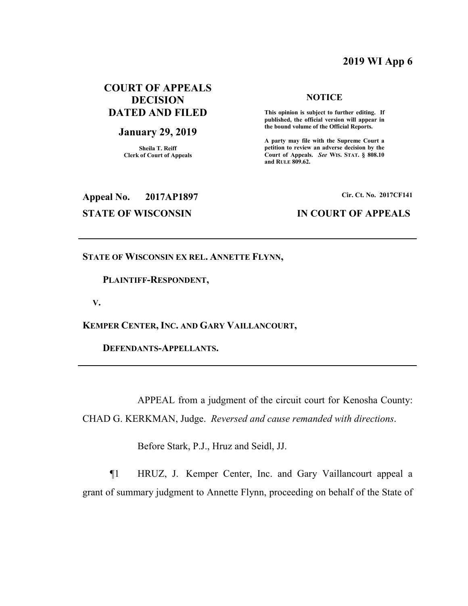# **2019 WI App 6**

# **COURT OF APPEALS DECISION DATED AND FILED**

#### **January 29, 2019**

**Sheila T. Reiff Clerk of Court of Appeals** 

#### **NOTICE**

 **This opinion is subject to further editing. If published, the official version will appear in the bound volume of the Official Reports.** 

**A party may file with the Supreme Court a petition to review an adverse decision by the Court of Appeals.** *See* **WIS. STAT. § 808.10 and RULE 809.62.** 

# **Appeal No. 2017AP1897 Cir. Ct. No. 2017CF141**

# **STATE OF WISCONSIN IN COURT OF APPEALS**

#### **STATE OF WISCONSIN EX REL. ANNETTE FLYNN,**

#### **PLAINTIFF-RESPONDENT,**

 **V.** 

**KEMPER CENTER, INC. AND GARY VAILLANCOURT,** 

 **DEFENDANTS-APPELLANTS.** 

 APPEAL from a judgment of the circuit court for Kenosha County: CHAD G. KERKMAN, Judge. *Reversed and cause remanded with directions*.

Before Stark, P.J., Hruz and Seidl, JJ.

¶1 HRUZ, J. Kemper Center, Inc. and Gary Vaillancourt appeal a grant of summary judgment to Annette Flynn, proceeding on behalf of the State of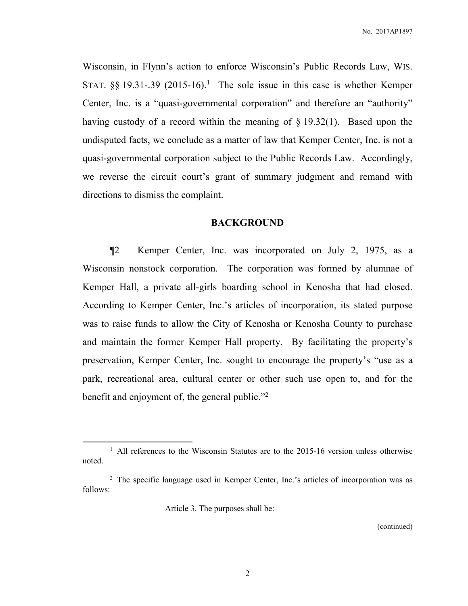Wisconsin, in Flynn's action to enforce Wisconsin's Public Records Law, WIS. STAT.  $\S$ § 19.31-.39 (2015-16).<sup>1</sup> The sole issue in this case is whether Kemper Center, Inc. is a "quasi-governmental corporation" and therefore an "authority" having custody of a record within the meaning of § 19.32(1). Based upon the undisputed facts, we conclude as a matter of law that Kemper Center, Inc. is not a quasi-governmental corporation subject to the Public Records Law. Accordingly, we reverse the circuit court's grant of summary judgment and remand with directions to dismiss the complaint.

# **BACKGROUND**

 ¶2 Kemper Center, Inc. was incorporated on July 2, 1975, as a Wisconsin nonstock corporation. The corporation was formed by alumnae of Kemper Hall, a private all-girls boarding school in Kenosha that had closed. According to Kemper Center, Inc.'s articles of incorporation, its stated purpose was to raise funds to allow the City of Kenosha or Kenosha County to purchase and maintain the former Kemper Hall property. By facilitating the property's preservation, Kemper Center, Inc. sought to encourage the property's "use as a park, recreational area, cultural center or other such use open to, and for the benefit and enjoyment of, the general public."<sup>2</sup>

Article 3. The purposes shall be:

 $\overline{a}$ 

(continued)

<sup>&</sup>lt;sup>1</sup> All references to the Wisconsin Statutes are to the 2015-16 version unless otherwise noted.

<sup>&</sup>lt;sup>2</sup> The specific language used in Kemper Center, Inc.'s articles of incorporation was as follows: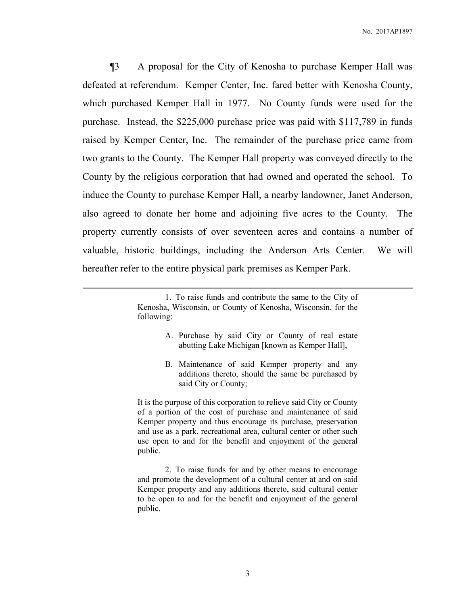¶3 A proposal for the City of Kenosha to purchase Kemper Hall was defeated at referendum. Kemper Center, Inc. fared better with Kenosha County, which purchased Kemper Hall in 1977. No County funds were used for the purchase. Instead, the \$225,000 purchase price was paid with \$117,789 in funds raised by Kemper Center, Inc. The remainder of the purchase price came from two grants to the County. The Kemper Hall property was conveyed directly to the County by the religious corporation that had owned and operated the school. To induce the County to purchase Kemper Hall, a nearby landowner, Janet Anderson, also agreed to donate her home and adjoining five acres to the County. The property currently consists of over seventeen acres and contains a number of valuable, historic buildings, including the Anderson Arts Center. We will hereafter refer to the entire physical park premises as Kemper Park.

<u>.</u>

- A. Purchase by said City or County of real estate abutting Lake Michigan [known as Kemper Hall],
- B. Maintenance of said Kemper property and any additions thereto, should the same be purchased by said City or County;

It is the purpose of this corporation to relieve said City or County of a portion of the cost of purchase and maintenance of said Kemper property and thus encourage its purchase, preservation and use as a park, recreational area, cultural center or other such use open to and for the benefit and enjoyment of the general public.

 2. To raise funds for and by other means to encourage and promote the development of a cultural center at and on said Kemper property and any additions thereto, said cultural center to be open to and for the benefit and enjoyment of the general public.

<sup>1.</sup> To raise funds and contribute the same to the City of Kenosha, Wisconsin, or County of Kenosha, Wisconsin, for the following: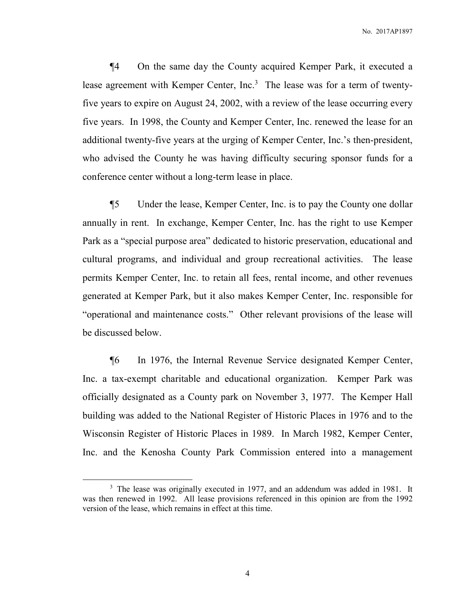¶4 On the same day the County acquired Kemper Park, it executed a lease agreement with Kemper Center, Inc.<sup>3</sup> The lease was for a term of twentyfive years to expire on August 24, 2002, with a review of the lease occurring every five years. In 1998, the County and Kemper Center, Inc. renewed the lease for an additional twenty-five years at the urging of Kemper Center, Inc.'s then-president, who advised the County he was having difficulty securing sponsor funds for a conference center without a long-term lease in place.

¶5 Under the lease, Kemper Center, Inc. is to pay the County one dollar annually in rent. In exchange, Kemper Center, Inc. has the right to use Kemper Park as a "special purpose area" dedicated to historic preservation, educational and cultural programs, and individual and group recreational activities. The lease permits Kemper Center, Inc. to retain all fees, rental income, and other revenues generated at Kemper Park, but it also makes Kemper Center, Inc. responsible for "operational and maintenance costs." Other relevant provisions of the lease will be discussed below.

¶6 In 1976, the Internal Revenue Service designated Kemper Center, Inc. a tax-exempt charitable and educational organization. Kemper Park was officially designated as a County park on November 3, 1977. The Kemper Hall building was added to the National Register of Historic Places in 1976 and to the Wisconsin Register of Historic Places in 1989. In March 1982, Kemper Center, Inc. and the Kenosha County Park Commission entered into a management

<sup>&</sup>lt;sup>3</sup> The lease was originally executed in 1977, and an addendum was added in 1981. It was then renewed in 1992. All lease provisions referenced in this opinion are from the 1992 version of the lease, which remains in effect at this time.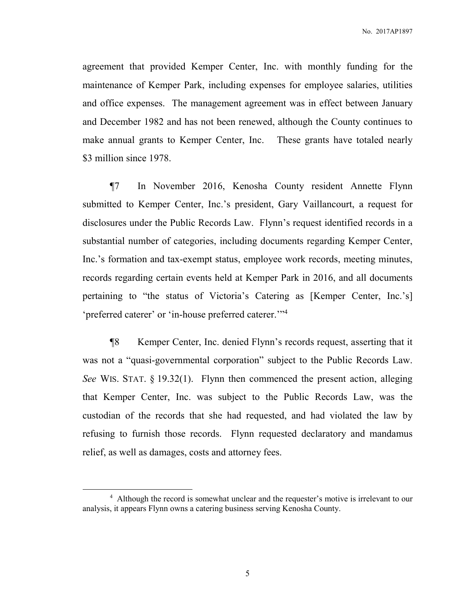agreement that provided Kemper Center, Inc. with monthly funding for the maintenance of Kemper Park, including expenses for employee salaries, utilities and office expenses. The management agreement was in effect between January and December 1982 and has not been renewed, although the County continues to make annual grants to Kemper Center, Inc. These grants have totaled nearly \$3 million since 1978.

¶7 In November 2016, Kenosha County resident Annette Flynn submitted to Kemper Center, Inc.'s president, Gary Vaillancourt, a request for disclosures under the Public Records Law. Flynn's request identified records in a substantial number of categories, including documents regarding Kemper Center, Inc.'s formation and tax-exempt status, employee work records, meeting minutes, records regarding certain events held at Kemper Park in 2016, and all documents pertaining to "the status of Victoria's Catering as [Kemper Center, Inc.'s] 'preferred caterer' or 'in-house preferred caterer."<sup>4</sup>

¶8 Kemper Center, Inc. denied Flynn's records request, asserting that it was not a "quasi-governmental corporation" subject to the Public Records Law. *See* WIS. STAT. § 19.32(1). Flynn then commenced the present action, alleging that Kemper Center, Inc. was subject to the Public Records Law, was the custodian of the records that she had requested, and had violated the law by refusing to furnish those records. Flynn requested declaratory and mandamus relief, as well as damages, costs and attorney fees.

<sup>&</sup>lt;sup>4</sup> Although the record is somewhat unclear and the requester's motive is irrelevant to our analysis, it appears Flynn owns a catering business serving Kenosha County.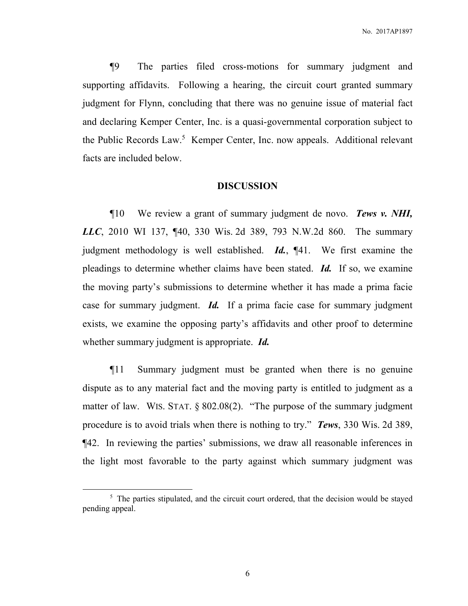¶9 The parties filed cross-motions for summary judgment and supporting affidavits. Following a hearing, the circuit court granted summary judgment for Flynn, concluding that there was no genuine issue of material fact and declaring Kemper Center, Inc. is a quasi-governmental corporation subject to the Public Records Law.<sup>5</sup> Kemper Center, Inc. now appeals. Additional relevant facts are included below.

## **DISCUSSION**

 ¶10 We review a grant of summary judgment de novo. *Tews v. NHI, LLC*, 2010 WI 137, ¶40, 330 Wis. 2d 389, 793 N.W.2d 860. The summary judgment methodology is well established. *Id.*, ¶41. We first examine the pleadings to determine whether claims have been stated. *Id.* If so, we examine the moving party's submissions to determine whether it has made a prima facie case for summary judgment. *Id.* If a prima facie case for summary judgment exists, we examine the opposing party's affidavits and other proof to determine whether summary judgment is appropriate. *Id.*

¶11 Summary judgment must be granted when there is no genuine dispute as to any material fact and the moving party is entitled to judgment as a matter of law. WIS. STAT. § 802.08(2). "The purpose of the summary judgment procedure is to avoid trials when there is nothing to try." *Tews*, 330 Wis. 2d 389, ¶42. In reviewing the parties' submissions, we draw all reasonable inferences in the light most favorable to the party against which summary judgment was

<sup>&</sup>lt;sup>5</sup> The parties stipulated, and the circuit court ordered, that the decision would be stayed pending appeal.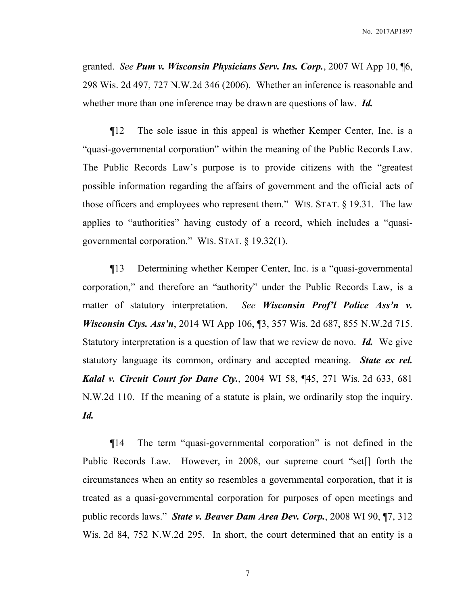granted. *See Pum v. Wisconsin Physicians Serv. Ins. Corp.*, 2007 WI App 10, ¶6, 298 Wis. 2d 497, 727 N.W.2d 346 (2006). Whether an inference is reasonable and whether more than one inference may be drawn are questions of law. *Id.*

¶12 The sole issue in this appeal is whether Kemper Center, Inc. is a "quasi-governmental corporation" within the meaning of the Public Records Law. The Public Records Law's purpose is to provide citizens with the "greatest possible information regarding the affairs of government and the official acts of those officers and employees who represent them." WIS. STAT. § 19.31. The law applies to "authorities" having custody of a record, which includes a "quasigovernmental corporation." WIS. STAT. § 19.32(1).

¶13 Determining whether Kemper Center, Inc. is a "quasi-governmental corporation," and therefore an "authority" under the Public Records Law, is a matter of statutory interpretation. *See Wisconsin Prof'l Police Ass'n v. Wisconsin Ctys. Ass'n*, 2014 WI App 106, ¶3, 357 Wis. 2d 687, 855 N.W.2d 715. Statutory interpretation is a question of law that we review de novo. *Id.* We give statutory language its common, ordinary and accepted meaning. *State ex rel. Kalal v. Circuit Court for Dane Cty.*, 2004 WI 58, ¶45, 271 Wis. 2d 633, 681 N.W.2d 110. If the meaning of a statute is plain, we ordinarily stop the inquiry. *Id.*

¶14 The term "quasi-governmental corporation" is not defined in the Public Records Law. However, in 2008, our supreme court "set[] forth the circumstances when an entity so resembles a governmental corporation, that it is treated as a quasi-governmental corporation for purposes of open meetings and public records laws." *State v. Beaver Dam Area Dev. Corp.*, 2008 WI 90, ¶7, 312 Wis. 2d 84, 752 N.W.2d 295. In short, the court determined that an entity is a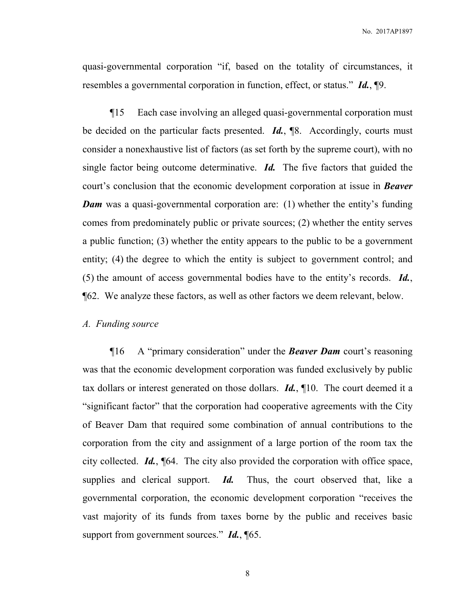quasi-governmental corporation "if, based on the totality of circumstances, it resembles a governmental corporation in function, effect, or status." *Id.*, ¶9.

¶15 Each case involving an alleged quasi-governmental corporation must be decided on the particular facts presented. *Id.*, ¶8. Accordingly, courts must consider a nonexhaustive list of factors (as set forth by the supreme court), with no single factor being outcome determinative. *Id.* The five factors that guided the court's conclusion that the economic development corporation at issue in *Beaver Dam* was a quasi-governmental corporation are: (1) whether the entity's funding comes from predominately public or private sources; (2) whether the entity serves a public function; (3) whether the entity appears to the public to be a government entity; (4) the degree to which the entity is subject to government control; and (5) the amount of access governmental bodies have to the entity's records. *Id.*, ¶62. We analyze these factors, as well as other factors we deem relevant, below.

## *A. Funding source*

 ¶16 A "primary consideration" under the *Beaver Dam* court's reasoning was that the economic development corporation was funded exclusively by public tax dollars or interest generated on those dollars. *Id.*, ¶10. The court deemed it a "significant factor" that the corporation had cooperative agreements with the City of Beaver Dam that required some combination of annual contributions to the corporation from the city and assignment of a large portion of the room tax the city collected. *Id.*, ¶64. The city also provided the corporation with office space, supplies and clerical support. *Id.* Thus, the court observed that, like a governmental corporation, the economic development corporation "receives the vast majority of its funds from taxes borne by the public and receives basic support from government sources." *Id.*, ¶65.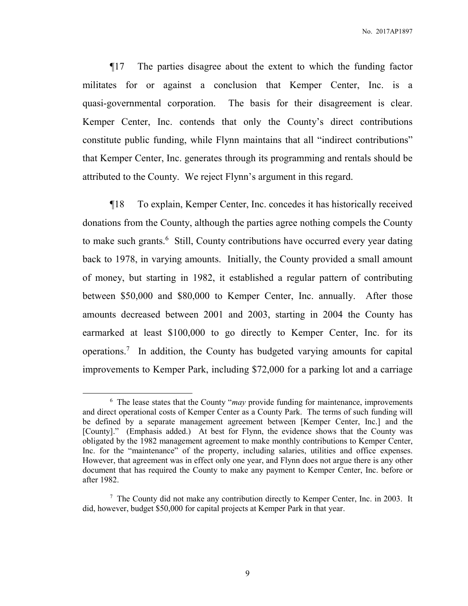¶17 The parties disagree about the extent to which the funding factor militates for or against a conclusion that Kemper Center, Inc. is a quasi-governmental corporation. The basis for their disagreement is clear. Kemper Center, Inc. contends that only the County's direct contributions constitute public funding, while Flynn maintains that all "indirect contributions" that Kemper Center, Inc. generates through its programming and rentals should be attributed to the County. We reject Flynn's argument in this regard.

¶18 To explain, Kemper Center, Inc. concedes it has historically received donations from the County, although the parties agree nothing compels the County to make such grants.<sup>6</sup> Still, County contributions have occurred every year dating back to 1978, in varying amounts. Initially, the County provided a small amount of money, but starting in 1982, it established a regular pattern of contributing between \$50,000 and \$80,000 to Kemper Center, Inc. annually. After those amounts decreased between 2001 and 2003, starting in 2004 the County has earmarked at least \$100,000 to go directly to Kemper Center, Inc. for its operations.<sup>7</sup> In addition, the County has budgeted varying amounts for capital improvements to Kemper Park, including \$72,000 for a parking lot and a carriage

<sup>&</sup>lt;sup>6</sup> The lease states that the County "*may* provide funding for maintenance, improvements and direct operational costs of Kemper Center as a County Park. The terms of such funding will be defined by a separate management agreement between [Kemper Center, Inc.] and the [County]." (Emphasis added.) At best for Flynn, the evidence shows that the County was obligated by the 1982 management agreement to make monthly contributions to Kemper Center, Inc. for the "maintenance" of the property, including salaries, utilities and office expenses. However, that agreement was in effect only one year, and Flynn does not argue there is any other document that has required the County to make any payment to Kemper Center, Inc. before or after 1982.

 $7$  The County did not make any contribution directly to Kemper Center, Inc. in 2003. It did, however, budget \$50,000 for capital projects at Kemper Park in that year.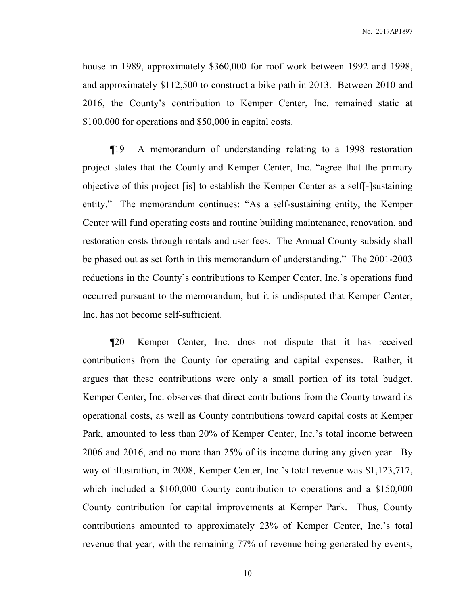house in 1989, approximately \$360,000 for roof work between 1992 and 1998, and approximately \$112,500 to construct a bike path in 2013. Between 2010 and 2016, the County's contribution to Kemper Center, Inc. remained static at \$100,000 for operations and \$50,000 in capital costs.

 ¶19 A memorandum of understanding relating to a 1998 restoration project states that the County and Kemper Center, Inc. "agree that the primary objective of this project [is] to establish the Kemper Center as a self[-]sustaining entity." The memorandum continues: "As a self-sustaining entity, the Kemper Center will fund operating costs and routine building maintenance, renovation, and restoration costs through rentals and user fees. The Annual County subsidy shall be phased out as set forth in this memorandum of understanding." The 2001-2003 reductions in the County's contributions to Kemper Center, Inc.'s operations fund occurred pursuant to the memorandum, but it is undisputed that Kemper Center, Inc. has not become self-sufficient.

 ¶20 Kemper Center, Inc. does not dispute that it has received contributions from the County for operating and capital expenses. Rather, it argues that these contributions were only a small portion of its total budget. Kemper Center, Inc. observes that direct contributions from the County toward its operational costs, as well as County contributions toward capital costs at Kemper Park, amounted to less than 20% of Kemper Center, Inc.'s total income between 2006 and 2016, and no more than 25% of its income during any given year. By way of illustration, in 2008, Kemper Center, Inc.'s total revenue was \$1,123,717, which included a \$100,000 County contribution to operations and a \$150,000 County contribution for capital improvements at Kemper Park. Thus, County contributions amounted to approximately 23% of Kemper Center, Inc.'s total revenue that year, with the remaining 77% of revenue being generated by events,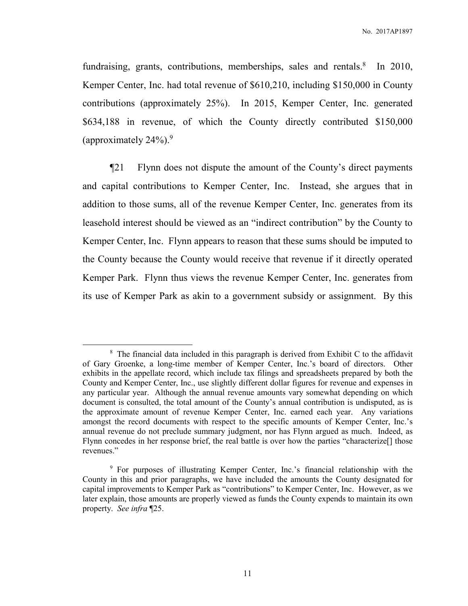fundraising, grants, contributions, memberships, sales and rentals. $8$  In 2010, Kemper Center, Inc. had total revenue of \$610,210, including \$150,000 in County contributions (approximately 25%). In 2015, Kemper Center, Inc. generated \$634,188 in revenue, of which the County directly contributed \$150,000 (approximately  $24\%$ ).<sup>9</sup>

 ¶21 Flynn does not dispute the amount of the County's direct payments and capital contributions to Kemper Center, Inc. Instead, she argues that in addition to those sums, all of the revenue Kemper Center, Inc. generates from its leasehold interest should be viewed as an "indirect contribution" by the County to Kemper Center, Inc. Flynn appears to reason that these sums should be imputed to the County because the County would receive that revenue if it directly operated Kemper Park. Flynn thus views the revenue Kemper Center, Inc. generates from its use of Kemper Park as akin to a government subsidy or assignment. By this

 $8$  The financial data included in this paragraph is derived from Exhibit C to the affidavit of Gary Groenke, a long-time member of Kemper Center, Inc.'s board of directors. Other exhibits in the appellate record, which include tax filings and spreadsheets prepared by both the County and Kemper Center, Inc., use slightly different dollar figures for revenue and expenses in any particular year. Although the annual revenue amounts vary somewhat depending on which document is consulted, the total amount of the County's annual contribution is undisputed, as is the approximate amount of revenue Kemper Center, Inc. earned each year. Any variations amongst the record documents with respect to the specific amounts of Kemper Center, Inc.'s annual revenue do not preclude summary judgment, nor has Flynn argued as much. Indeed, as Flynn concedes in her response brief, the real battle is over how the parties "characterize[] those revenues."

<sup>9</sup> For purposes of illustrating Kemper Center, Inc.'s financial relationship with the County in this and prior paragraphs, we have included the amounts the County designated for capital improvements to Kemper Park as "contributions" to Kemper Center, Inc. However, as we later explain, those amounts are properly viewed as funds the County expends to maintain its own property. *See infra* ¶25.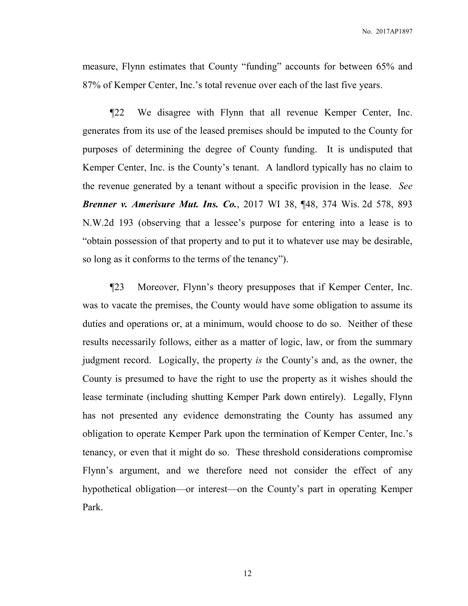measure, Flynn estimates that County "funding" accounts for between 65% and 87% of Kemper Center, Inc.'s total revenue over each of the last five years.

 ¶22 We disagree with Flynn that all revenue Kemper Center, Inc. generates from its use of the leased premises should be imputed to the County for purposes of determining the degree of County funding. It is undisputed that Kemper Center, Inc. is the County's tenant. A landlord typically has no claim to the revenue generated by a tenant without a specific provision in the lease. *See Brenner v. Amerisure Mut. Ins. Co.*, 2017 WI 38, ¶48, 374 Wis. 2d 578, 893 N.W.2d 193 (observing that a lessee's purpose for entering into a lease is to "obtain possession of that property and to put it to whatever use may be desirable, so long as it conforms to the terms of the tenancy").

¶23 Moreover, Flynn's theory presupposes that if Kemper Center, Inc. was to vacate the premises, the County would have some obligation to assume its duties and operations or, at a minimum, would choose to do so. Neither of these results necessarily follows, either as a matter of logic, law, or from the summary judgment record. Logically, the property *is* the County's and, as the owner, the County is presumed to have the right to use the property as it wishes should the lease terminate (including shutting Kemper Park down entirely). Legally, Flynn has not presented any evidence demonstrating the County has assumed any obligation to operate Kemper Park upon the termination of Kemper Center, Inc.'s tenancy, or even that it might do so. These threshold considerations compromise Flynn's argument, and we therefore need not consider the effect of any hypothetical obligation—or interest—on the County's part in operating Kemper Park.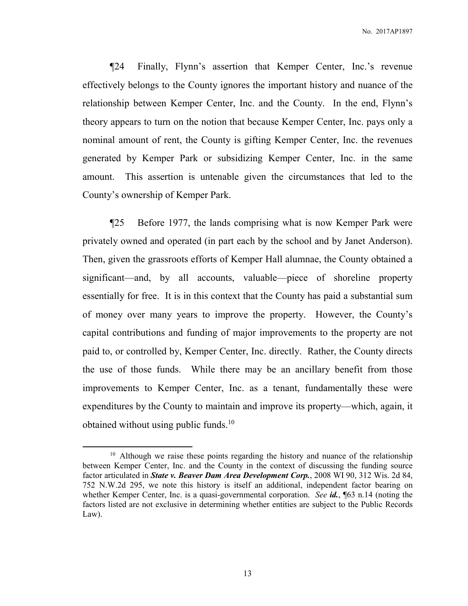¶24 Finally, Flynn's assertion that Kemper Center, Inc.'s revenue effectively belongs to the County ignores the important history and nuance of the relationship between Kemper Center, Inc. and the County. In the end, Flynn's theory appears to turn on the notion that because Kemper Center, Inc. pays only a nominal amount of rent, the County is gifting Kemper Center, Inc. the revenues generated by Kemper Park or subsidizing Kemper Center, Inc. in the same amount. This assertion is untenable given the circumstances that led to the County's ownership of Kemper Park.

¶25 Before 1977, the lands comprising what is now Kemper Park were privately owned and operated (in part each by the school and by Janet Anderson). Then, given the grassroots efforts of Kemper Hall alumnae, the County obtained a significant—and, by all accounts, valuable—piece of shoreline property essentially for free. It is in this context that the County has paid a substantial sum of money over many years to improve the property. However, the County's capital contributions and funding of major improvements to the property are not paid to, or controlled by, Kemper Center, Inc. directly. Rather, the County directs the use of those funds. While there may be an ancillary benefit from those improvements to Kemper Center, Inc. as a tenant, fundamentally these were expenditures by the County to maintain and improve its property—which, again, it obtained without using public funds.<sup>10</sup>

 $10$  Although we raise these points regarding the history and nuance of the relationship between Kemper Center, Inc. and the County in the context of discussing the funding source factor articulated in *State v. Beaver Dam Area Development Corp.*, 2008 WI 90, 312 Wis. 2d 84, 752 N.W.2d 295, we note this history is itself an additional, independent factor bearing on whether Kemper Center, Inc. is a quasi-governmental corporation. *See id.*, ¶63 n.14 (noting the factors listed are not exclusive in determining whether entities are subject to the Public Records Law).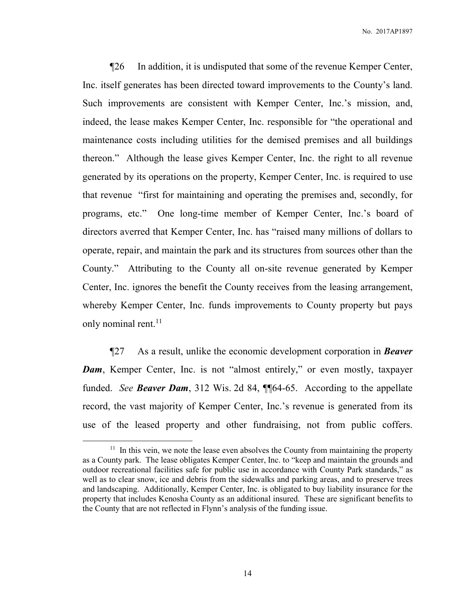¶26 In addition, it is undisputed that some of the revenue Kemper Center, Inc. itself generates has been directed toward improvements to the County's land. Such improvements are consistent with Kemper Center, Inc.'s mission, and, indeed, the lease makes Kemper Center, Inc. responsible for "the operational and maintenance costs including utilities for the demised premises and all buildings thereon." Although the lease gives Kemper Center, Inc. the right to all revenue generated by its operations on the property, Kemper Center, Inc. is required to use that revenue "first for maintaining and operating the premises and, secondly, for programs, etc." One long-time member of Kemper Center, Inc.'s board of directors averred that Kemper Center, Inc. has "raised many millions of dollars to operate, repair, and maintain the park and its structures from sources other than the County." Attributing to the County all on-site revenue generated by Kemper Center, Inc. ignores the benefit the County receives from the leasing arrangement, whereby Kemper Center, Inc. funds improvements to County property but pays only nominal rent.<sup>11</sup>

¶27 As a result, unlike the economic development corporation in *Beaver Dam*, Kemper Center, Inc. is not "almost entirely," or even mostly, taxpayer funded. *See Beaver Dam*, 312 Wis. 2d 84, ¶¶64-65. According to the appellate record, the vast majority of Kemper Center, Inc.'s revenue is generated from its use of the leased property and other fundraising, not from public coffers.

 $11$  In this vein, we note the lease even absolves the County from maintaining the property as a County park. The lease obligates Kemper Center, Inc. to "keep and maintain the grounds and outdoor recreational facilities safe for public use in accordance with County Park standards," as well as to clear snow, ice and debris from the sidewalks and parking areas, and to preserve trees and landscaping. Additionally, Kemper Center, Inc. is obligated to buy liability insurance for the property that includes Kenosha County as an additional insured. These are significant benefits to the County that are not reflected in Flynn's analysis of the funding issue.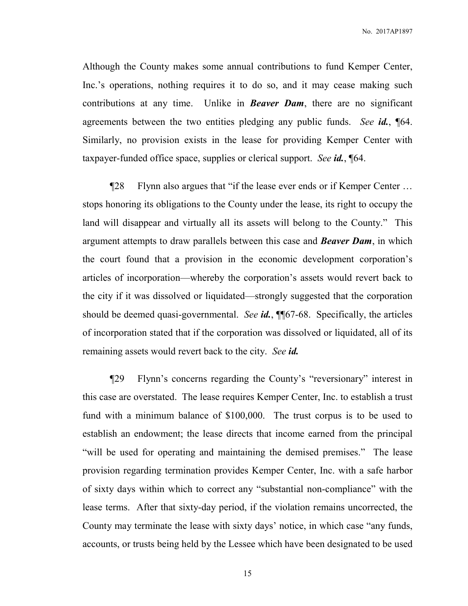No. 2017AP1897

Although the County makes some annual contributions to fund Kemper Center, Inc.'s operations, nothing requires it to do so, and it may cease making such contributions at any time. Unlike in *Beaver Dam*, there are no significant agreements between the two entities pledging any public funds. *See id.*, ¶64. Similarly, no provision exists in the lease for providing Kemper Center with taxpayer-funded office space, supplies or clerical support. *See id.*, ¶64.

¶28 Flynn also argues that "if the lease ever ends or if Kemper Center … stops honoring its obligations to the County under the lease, its right to occupy the land will disappear and virtually all its assets will belong to the County." This argument attempts to draw parallels between this case and *Beaver Dam*, in which the court found that a provision in the economic development corporation's articles of incorporation—whereby the corporation's assets would revert back to the city if it was dissolved or liquidated—strongly suggested that the corporation should be deemed quasi-governmental. *See id.*, ¶¶67-68. Specifically, the articles of incorporation stated that if the corporation was dissolved or liquidated, all of its remaining assets would revert back to the city. *See id.*

¶29 Flynn's concerns regarding the County's "reversionary" interest in this case are overstated. The lease requires Kemper Center, Inc. to establish a trust fund with a minimum balance of \$100,000. The trust corpus is to be used to establish an endowment; the lease directs that income earned from the principal "will be used for operating and maintaining the demised premises." The lease provision regarding termination provides Kemper Center, Inc. with a safe harbor of sixty days within which to correct any "substantial non-compliance" with the lease terms. After that sixty-day period, if the violation remains uncorrected, the County may terminate the lease with sixty days' notice, in which case "any funds, accounts, or trusts being held by the Lessee which have been designated to be used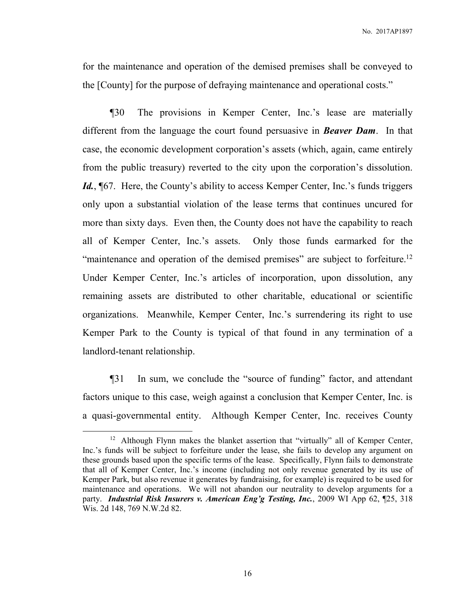for the maintenance and operation of the demised premises shall be conveyed to the [County] for the purpose of defraying maintenance and operational costs."

¶30 The provisions in Kemper Center, Inc.'s lease are materially different from the language the court found persuasive in *Beaver Dam*. In that case, the economic development corporation's assets (which, again, came entirely from the public treasury) reverted to the city upon the corporation's dissolution. Id., **[67.** Here, the County's ability to access Kemper Center, Inc.'s funds triggers only upon a substantial violation of the lease terms that continues uncured for more than sixty days. Even then, the County does not have the capability to reach all of Kemper Center, Inc.'s assets. Only those funds earmarked for the "maintenance and operation of the demised premises" are subject to forfeiture.<sup>12</sup> Under Kemper Center, Inc.'s articles of incorporation, upon dissolution, any remaining assets are distributed to other charitable, educational or scientific organizations. Meanwhile, Kemper Center, Inc.'s surrendering its right to use Kemper Park to the County is typical of that found in any termination of a landlord-tenant relationship.

¶31 In sum, we conclude the "source of funding" factor, and attendant factors unique to this case, weigh against a conclusion that Kemper Center, Inc. is a quasi-governmental entity. Although Kemper Center, Inc. receives County

<sup>&</sup>lt;sup>12</sup> Although Flynn makes the blanket assertion that "virtually" all of Kemper Center, Inc.'s funds will be subject to forfeiture under the lease, she fails to develop any argument on these grounds based upon the specific terms of the lease. Specifically, Flynn fails to demonstrate that all of Kemper Center, Inc.'s income (including not only revenue generated by its use of Kemper Park, but also revenue it generates by fundraising, for example) is required to be used for maintenance and operations. We will not abandon our neutrality to develop arguments for a party. *Industrial Risk Insurers v. American Eng'g Testing, Inc.*, 2009 WI App 62, ¶25, 318 Wis. 2d 148, 769 N.W.2d 82.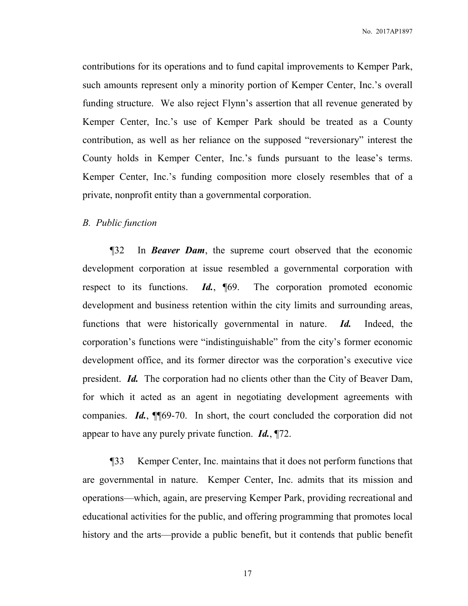contributions for its operations and to fund capital improvements to Kemper Park, such amounts represent only a minority portion of Kemper Center, Inc.'s overall funding structure. We also reject Flynn's assertion that all revenue generated by Kemper Center, Inc.'s use of Kemper Park should be treated as a County contribution, as well as her reliance on the supposed "reversionary" interest the County holds in Kemper Center, Inc.'s funds pursuant to the lease's terms. Kemper Center, Inc.'s funding composition more closely resembles that of a private, nonprofit entity than a governmental corporation.

## *B. Public function*

 ¶32 In *Beaver Dam*, the supreme court observed that the economic development corporation at issue resembled a governmental corporation with respect to its functions. *Id.*, ¶69. The corporation promoted economic development and business retention within the city limits and surrounding areas, functions that were historically governmental in nature. *Id.* Indeed, the corporation's functions were "indistinguishable" from the city's former economic development office, and its former director was the corporation's executive vice president. *Id.* The corporation had no clients other than the City of Beaver Dam, for which it acted as an agent in negotiating development agreements with companies. *Id.*, ¶¶69-70. In short, the court concluded the corporation did not appear to have any purely private function. *Id.*, ¶72.

 ¶33 Kemper Center, Inc. maintains that it does not perform functions that are governmental in nature. Kemper Center, Inc. admits that its mission and operations—which, again, are preserving Kemper Park, providing recreational and educational activities for the public, and offering programming that promotes local history and the arts—provide a public benefit, but it contends that public benefit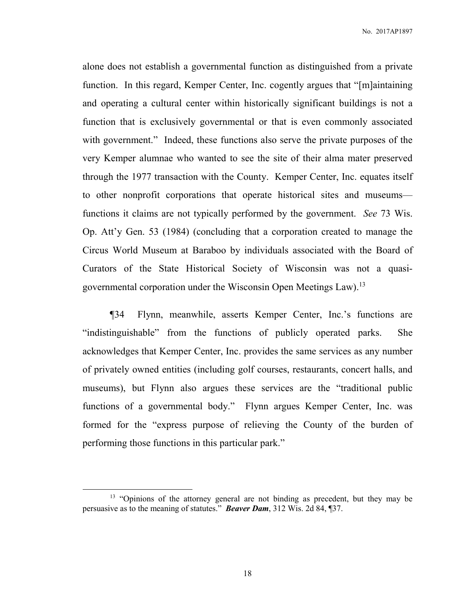alone does not establish a governmental function as distinguished from a private function. In this regard, Kemper Center, Inc. cogently argues that "[m]aintaining and operating a cultural center within historically significant buildings is not a function that is exclusively governmental or that is even commonly associated with government." Indeed, these functions also serve the private purposes of the very Kemper alumnae who wanted to see the site of their alma mater preserved through the 1977 transaction with the County. Kemper Center, Inc. equates itself to other nonprofit corporations that operate historical sites and museums functions it claims are not typically performed by the government. *See* 73 Wis. Op. Att'y Gen. 53 (1984) (concluding that a corporation created to manage the Circus World Museum at Baraboo by individuals associated with the Board of Curators of the State Historical Society of Wisconsin was not a quasigovernmental corporation under the Wisconsin Open Meetings Law).<sup>13</sup>

 ¶34 Flynn, meanwhile, asserts Kemper Center, Inc.'s functions are "indistinguishable" from the functions of publicly operated parks. She acknowledges that Kemper Center, Inc. provides the same services as any number of privately owned entities (including golf courses, restaurants, concert halls, and museums), but Flynn also argues these services are the "traditional public functions of a governmental body." Flynn argues Kemper Center, Inc. was formed for the "express purpose of relieving the County of the burden of performing those functions in this particular park."

 $\overline{a}$ 

<sup>&</sup>lt;sup>13</sup> "Opinions of the attorney general are not binding as precedent, but they may be persuasive as to the meaning of statutes." *Beaver Dam*, 312 Wis. 2d 84, ¶37.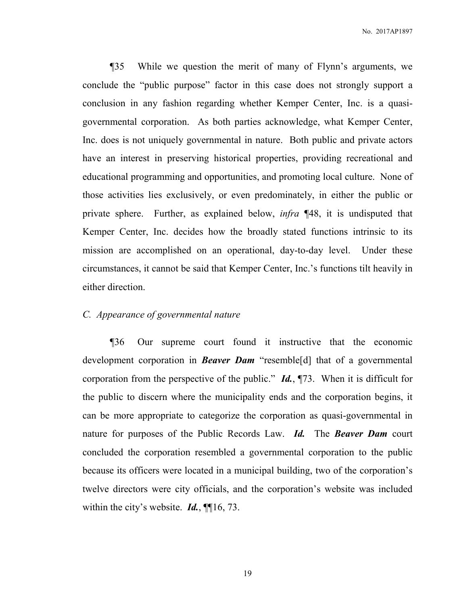¶35 While we question the merit of many of Flynn's arguments, we conclude the "public purpose" factor in this case does not strongly support a conclusion in any fashion regarding whether Kemper Center, Inc. is a quasigovernmental corporation. As both parties acknowledge, what Kemper Center, Inc. does is not uniquely governmental in nature. Both public and private actors have an interest in preserving historical properties, providing recreational and educational programming and opportunities, and promoting local culture. None of those activities lies exclusively, or even predominately, in either the public or private sphere. Further, as explained below, *infra* ¶48, it is undisputed that Kemper Center, Inc. decides how the broadly stated functions intrinsic to its mission are accomplished on an operational, day-to-day level. Under these circumstances, it cannot be said that Kemper Center, Inc.'s functions tilt heavily in either direction.

## *C. Appearance of governmental nature*

 ¶36 Our supreme court found it instructive that the economic development corporation in *Beaver Dam* "resemble[d] that of a governmental corporation from the perspective of the public." *Id.*, ¶73. When it is difficult for the public to discern where the municipality ends and the corporation begins, it can be more appropriate to categorize the corporation as quasi-governmental in nature for purposes of the Public Records Law. *Id.* The *Beaver Dam* court concluded the corporation resembled a governmental corporation to the public because its officers were located in a municipal building, two of the corporation's twelve directors were city officials, and the corporation's website was included within the city's website. *Id.*, ¶¶16, 73.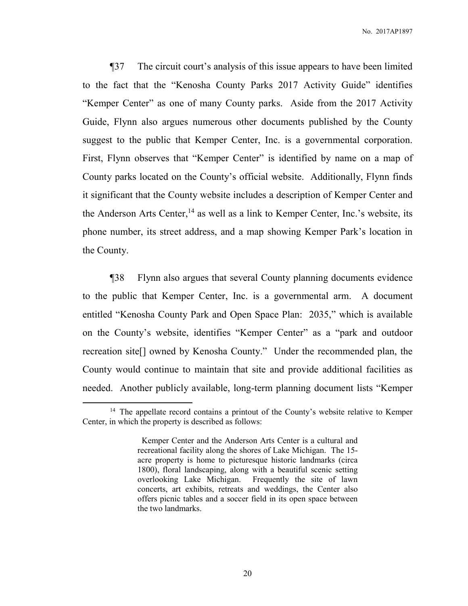¶37 The circuit court's analysis of this issue appears to have been limited to the fact that the "Kenosha County Parks 2017 Activity Guide" identifies "Kemper Center" as one of many County parks. Aside from the 2017 Activity Guide, Flynn also argues numerous other documents published by the County suggest to the public that Kemper Center, Inc. is a governmental corporation. First, Flynn observes that "Kemper Center" is identified by name on a map of County parks located on the County's official website. Additionally, Flynn finds it significant that the County website includes a description of Kemper Center and the Anderson Arts Center,  $^{14}$  as well as a link to Kemper Center, Inc.'s website, its phone number, its street address, and a map showing Kemper Park's location in the County.

 ¶38 Flynn also argues that several County planning documents evidence to the public that Kemper Center, Inc. is a governmental arm. A document entitled "Kenosha County Park and Open Space Plan: 2035," which is available on the County's website, identifies "Kemper Center" as a "park and outdoor recreation site[] owned by Kenosha County." Under the recommended plan, the County would continue to maintain that site and provide additional facilities as needed. Another publicly available, long-term planning document lists "Kemper

<sup>&</sup>lt;sup>14</sup> The appellate record contains a printout of the County's website relative to Kemper Center, in which the property is described as follows:

Kemper Center and the Anderson Arts Center is a cultural and recreational facility along the shores of Lake Michigan. The 15 acre property is home to picturesque historic landmarks (circa 1800), floral landscaping, along with a beautiful scenic setting overlooking Lake Michigan. Frequently the site of lawn concerts, art exhibits, retreats and weddings, the Center also offers picnic tables and a soccer field in its open space between the two landmarks.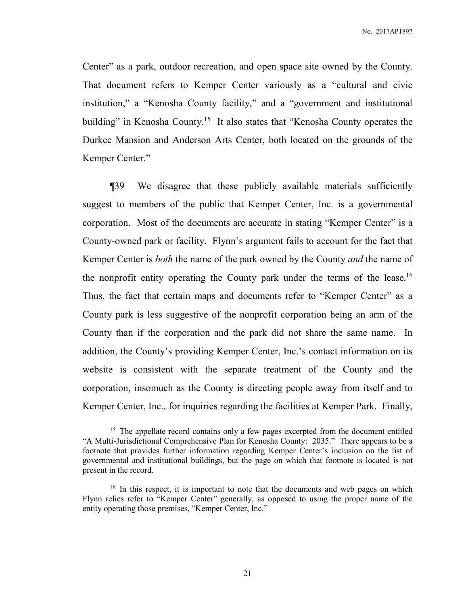Center" as a park, outdoor recreation, and open space site owned by the County. That document refers to Kemper Center variously as a "cultural and civic institution," a "Kenosha County facility," and a "government and institutional building" in Kenosha County.<sup>15</sup> It also states that "Kenosha County operates the Durkee Mansion and Anderson Arts Center, both located on the grounds of the Kemper Center."

 ¶39 We disagree that these publicly available materials sufficiently suggest to members of the public that Kemper Center, Inc. is a governmental corporation. Most of the documents are accurate in stating "Kemper Center" is a County-owned park or facility. Flynn's argument fails to account for the fact that Kemper Center is *both* the name of the park owned by the County *and* the name of the nonprofit entity operating the County park under the terms of the lease.<sup>16</sup> Thus, the fact that certain maps and documents refer to "Kemper Center" as a County park is less suggestive of the nonprofit corporation being an arm of the County than if the corporation and the park did not share the same name. In addition, the County's providing Kemper Center, Inc.'s contact information on its website is consistent with the separate treatment of the County and the corporation, insomuch as the County is directing people away from itself and to Kemper Center, Inc., for inquiries regarding the facilities at Kemper Park. Finally,

<sup>&</sup>lt;sup>15</sup> The appellate record contains only a few pages excerpted from the document entitled "A Multi-Jurisdictional Comprehensive Plan for Kenosha County: 2035." There appears to be a footnote that provides further information regarding Kemper Center's inclusion on the list of governmental and institutional buildings, but the page on which that footnote is located is not present in the record.

<sup>&</sup>lt;sup>16</sup> In this respect, it is important to note that the documents and web pages on which Flynn relies refer to "Kemper Center" generally, as opposed to using the proper name of the entity operating those premises, "Kemper Center, Inc."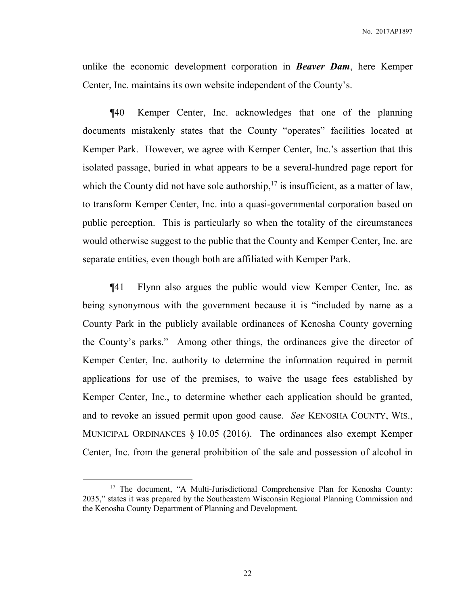unlike the economic development corporation in *Beaver Dam*, here Kemper Center, Inc. maintains its own website independent of the County's.

 ¶40 Kemper Center, Inc. acknowledges that one of the planning documents mistakenly states that the County "operates" facilities located at Kemper Park. However, we agree with Kemper Center, Inc.'s assertion that this isolated passage, buried in what appears to be a several-hundred page report for which the County did not have sole authorship,  $17$  is insufficient, as a matter of law, to transform Kemper Center, Inc. into a quasi-governmental corporation based on public perception. This is particularly so when the totality of the circumstances would otherwise suggest to the public that the County and Kemper Center, Inc. are separate entities, even though both are affiliated with Kemper Park.

 ¶41 Flynn also argues the public would view Kemper Center, Inc. as being synonymous with the government because it is "included by name as a County Park in the publicly available ordinances of Kenosha County governing the County's parks." Among other things, the ordinances give the director of Kemper Center, Inc. authority to determine the information required in permit applications for use of the premises, to waive the usage fees established by Kemper Center, Inc., to determine whether each application should be granted, and to revoke an issued permit upon good cause. *See* KENOSHA COUNTY, WIS., MUNICIPAL ORDINANCES § 10.05 (2016). The ordinances also exempt Kemper Center, Inc. from the general prohibition of the sale and possession of alcohol in

<sup>&</sup>lt;sup>17</sup> The document, "A Multi-Jurisdictional Comprehensive Plan for Kenosha County: 2035," states it was prepared by the Southeastern Wisconsin Regional Planning Commission and the Kenosha County Department of Planning and Development.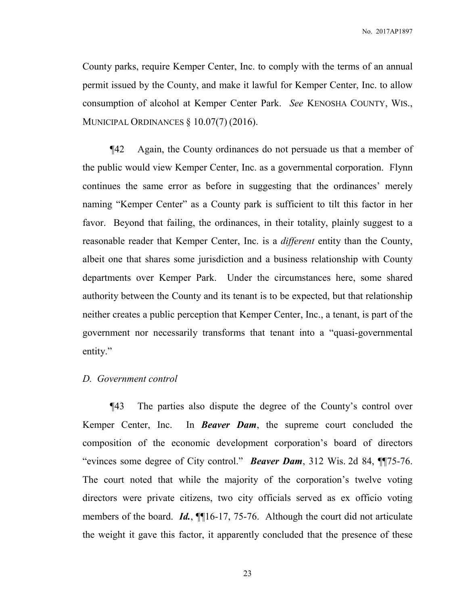County parks, require Kemper Center, Inc. to comply with the terms of an annual permit issued by the County, and make it lawful for Kemper Center, Inc. to allow consumption of alcohol at Kemper Center Park. *See* KENOSHA COUNTY, WIS., MUNICIPAL ORDINANCES § 10.07(7) (2016).

 ¶42 Again, the County ordinances do not persuade us that a member of the public would view Kemper Center, Inc. as a governmental corporation. Flynn continues the same error as before in suggesting that the ordinances' merely naming "Kemper Center" as a County park is sufficient to tilt this factor in her favor. Beyond that failing, the ordinances, in their totality, plainly suggest to a reasonable reader that Kemper Center, Inc. is a *different* entity than the County, albeit one that shares some jurisdiction and a business relationship with County departments over Kemper Park. Under the circumstances here, some shared authority between the County and its tenant is to be expected, but that relationship neither creates a public perception that Kemper Center, Inc., a tenant, is part of the government nor necessarily transforms that tenant into a "quasi-governmental entity."

#### *D. Government control*

¶43 The parties also dispute the degree of the County's control over Kemper Center, Inc. In *Beaver Dam*, the supreme court concluded the composition of the economic development corporation's board of directors "evinces some degree of City control." *Beaver Dam*, 312 Wis. 2d 84, ¶¶75-76. The court noted that while the majority of the corporation's twelve voting directors were private citizens, two city officials served as ex officio voting members of the board. *Id.*, **[16-17**, 75-76. Although the court did not articulate the weight it gave this factor, it apparently concluded that the presence of these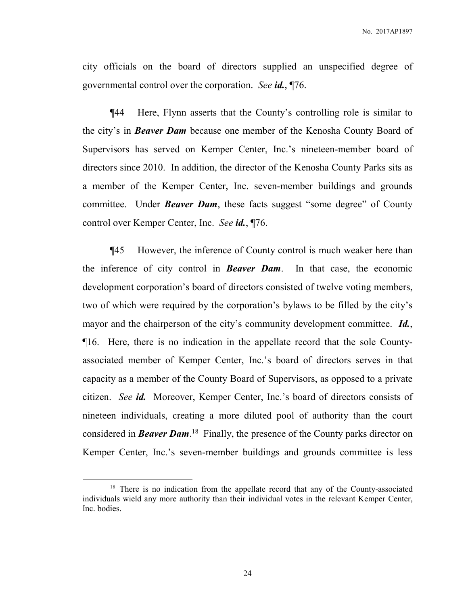city officials on the board of directors supplied an unspecified degree of governmental control over the corporation. *See id.*, ¶76.

¶44 Here, Flynn asserts that the County's controlling role is similar to the city's in *Beaver Dam* because one member of the Kenosha County Board of Supervisors has served on Kemper Center, Inc.'s nineteen-member board of directors since 2010. In addition, the director of the Kenosha County Parks sits as a member of the Kemper Center, Inc. seven-member buildings and grounds committee. Under *Beaver Dam*, these facts suggest "some degree" of County control over Kemper Center, Inc. *See id.*, ¶76.

¶45 However, the inference of County control is much weaker here than the inference of city control in *Beaver Dam*. In that case, the economic development corporation's board of directors consisted of twelve voting members, two of which were required by the corporation's bylaws to be filled by the city's mayor and the chairperson of the city's community development committee. *Id.*, ¶16. Here, there is no indication in the appellate record that the sole Countyassociated member of Kemper Center, Inc.'s board of directors serves in that capacity as a member of the County Board of Supervisors, as opposed to a private citizen. *See id.* Moreover, Kemper Center, Inc.'s board of directors consists of nineteen individuals, creating a more diluted pool of authority than the court considered in *Beaver Dam*. <sup>18</sup> Finally, the presence of the County parks director on Kemper Center, Inc.'s seven-member buildings and grounds committee is less

<sup>&</sup>lt;sup>18</sup> There is no indication from the appellate record that any of the County-associated individuals wield any more authority than their individual votes in the relevant Kemper Center, Inc. bodies.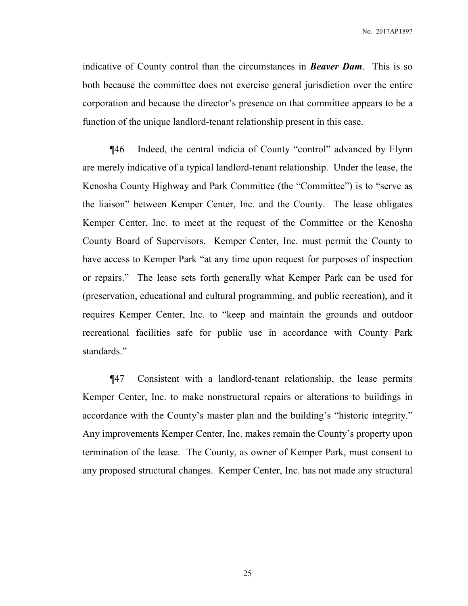indicative of County control than the circumstances in *Beaver Dam*.This is so both because the committee does not exercise general jurisdiction over the entire corporation and because the director's presence on that committee appears to be a function of the unique landlord-tenant relationship present in this case.

¶46 Indeed, the central indicia of County "control" advanced by Flynn are merely indicative of a typical landlord-tenant relationship. Under the lease, the Kenosha County Highway and Park Committee (the "Committee") is to "serve as the liaison" between Kemper Center, Inc. and the County. The lease obligates Kemper Center, Inc. to meet at the request of the Committee or the Kenosha County Board of Supervisors. Kemper Center, Inc. must permit the County to have access to Kemper Park "at any time upon request for purposes of inspection or repairs." The lease sets forth generally what Kemper Park can be used for (preservation, educational and cultural programming, and public recreation), and it requires Kemper Center, Inc. to "keep and maintain the grounds and outdoor recreational facilities safe for public use in accordance with County Park standards."

¶47 Consistent with a landlord-tenant relationship, the lease permits Kemper Center, Inc. to make nonstructural repairs or alterations to buildings in accordance with the County's master plan and the building's "historic integrity." Any improvements Kemper Center, Inc. makes remain the County's property upon termination of the lease. The County, as owner of Kemper Park, must consent to any proposed structural changes. Kemper Center, Inc. has not made any structural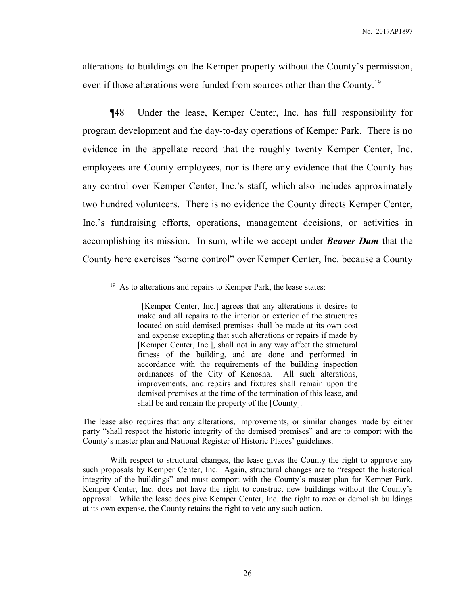alterations to buildings on the Kemper property without the County's permission, even if those alterations were funded from sources other than the County.<sup>19</sup>

¶48 Under the lease, Kemper Center, Inc. has full responsibility for program development and the day-to-day operations of Kemper Park. There is no evidence in the appellate record that the roughly twenty Kemper Center, Inc. employees are County employees, nor is there any evidence that the County has any control over Kemper Center, Inc.'s staff, which also includes approximately two hundred volunteers. There is no evidence the County directs Kemper Center, Inc.'s fundraising efforts, operations, management decisions, or activities in accomplishing its mission. In sum, while we accept under *Beaver Dam* that the County here exercises "some control" over Kemper Center, Inc. because a County

 $\overline{a}$ 

The lease also requires that any alterations, improvements, or similar changes made by either party "shall respect the historic integrity of the demised premises" and are to comport with the County's master plan and National Register of Historic Places' guidelines.

With respect to structural changes, the lease gives the County the right to approve any such proposals by Kemper Center, Inc. Again, structural changes are to "respect the historical integrity of the buildings" and must comport with the County's master plan for Kemper Park. Kemper Center, Inc. does not have the right to construct new buildings without the County's approval. While the lease does give Kemper Center, Inc. the right to raze or demolish buildings at its own expense, the County retains the right to veto any such action.

 $19$  As to alterations and repairs to Kemper Park, the lease states:

 <sup>[</sup>Kemper Center, Inc.] agrees that any alterations it desires to make and all repairs to the interior or exterior of the structures located on said demised premises shall be made at its own cost and expense excepting that such alterations or repairs if made by [Kemper Center, Inc.], shall not in any way affect the structural fitness of the building, and are done and performed in accordance with the requirements of the building inspection ordinances of the City of Kenosha. All such alterations, improvements, and repairs and fixtures shall remain upon the demised premises at the time of the termination of this lease, and shall be and remain the property of the [County].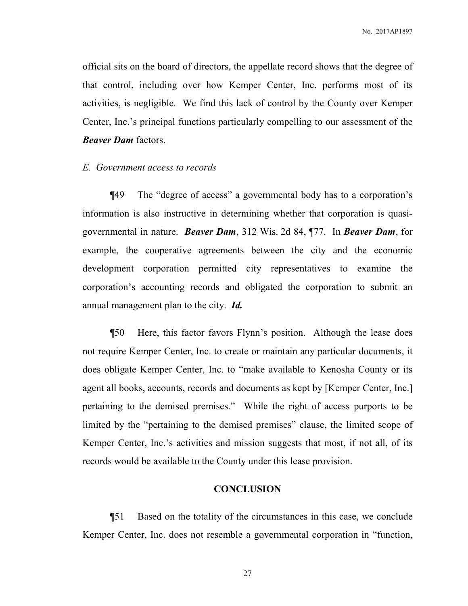official sits on the board of directors, the appellate record shows that the degree of that control, including over how Kemper Center, Inc. performs most of its activities, is negligible. We find this lack of control by the County over Kemper Center, Inc.'s principal functions particularly compelling to our assessment of the *Beaver Dam* factors.

#### *E. Government access to records*

 ¶49 The "degree of access" a governmental body has to a corporation's information is also instructive in determining whether that corporation is quasigovernmental in nature. *Beaver Dam*, 312 Wis. 2d 84, ¶77. In *Beaver Dam*, for example, the cooperative agreements between the city and the economic development corporation permitted city representatives to examine the corporation's accounting records and obligated the corporation to submit an annual management plan to the city. *Id.*

 ¶50 Here, this factor favors Flynn's position. Although the lease does not require Kemper Center, Inc. to create or maintain any particular documents, it does obligate Kemper Center, Inc. to "make available to Kenosha County or its agent all books, accounts, records and documents as kept by [Kemper Center, Inc.] pertaining to the demised premises." While the right of access purports to be limited by the "pertaining to the demised premises" clause, the limited scope of Kemper Center, Inc.'s activities and mission suggests that most, if not all, of its records would be available to the County under this lease provision.

# **CONCLUSION**

 ¶51 Based on the totality of the circumstances in this case, we conclude Kemper Center, Inc. does not resemble a governmental corporation in "function,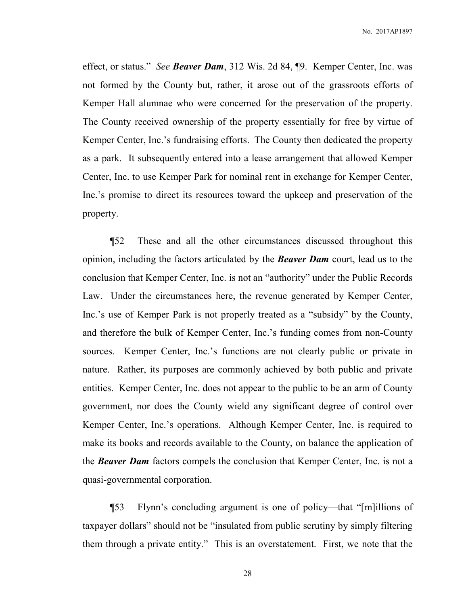effect, or status." *See Beaver Dam*, 312 Wis. 2d 84, ¶9. Kemper Center, Inc. was not formed by the County but, rather, it arose out of the grassroots efforts of Kemper Hall alumnae who were concerned for the preservation of the property. The County received ownership of the property essentially for free by virtue of Kemper Center, Inc.'s fundraising efforts. The County then dedicated the property as a park. It subsequently entered into a lease arrangement that allowed Kemper Center, Inc. to use Kemper Park for nominal rent in exchange for Kemper Center, Inc.'s promise to direct its resources toward the upkeep and preservation of the property.

 ¶52 These and all the other circumstances discussed throughout this opinion, including the factors articulated by the *Beaver Dam* court, lead us to the conclusion that Kemper Center, Inc. is not an "authority" under the Public Records Law. Under the circumstances here, the revenue generated by Kemper Center, Inc.'s use of Kemper Park is not properly treated as a "subsidy" by the County, and therefore the bulk of Kemper Center, Inc.'s funding comes from non-County sources. Kemper Center, Inc.'s functions are not clearly public or private in nature. Rather, its purposes are commonly achieved by both public and private entities. Kemper Center, Inc. does not appear to the public to be an arm of County government, nor does the County wield any significant degree of control over Kemper Center, Inc.'s operations. Although Kemper Center, Inc. is required to make its books and records available to the County, on balance the application of the *Beaver Dam* factors compels the conclusion that Kemper Center, Inc. is not a quasi-governmental corporation.

 ¶53 Flynn's concluding argument is one of policy—that "[m]illions of taxpayer dollars" should not be "insulated from public scrutiny by simply filtering them through a private entity." This is an overstatement. First, we note that the